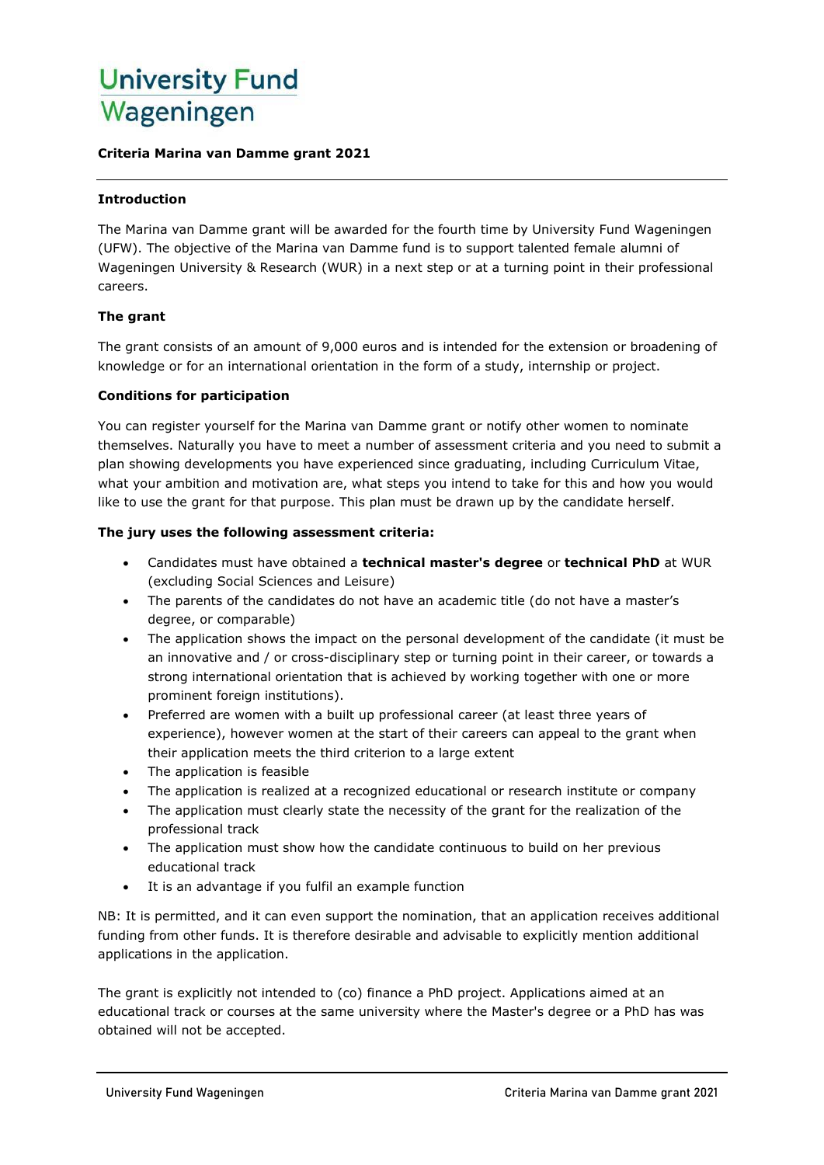# **University Fund** Wageningen

#### **Criteria Marina van Damme grant 2021**

#### **Introduction**

The Marina van Damme grant will be awarded for the fourth time by University Fund Wageningen (UFW). The objective of the Marina van Damme fund is to support talented female alumni of Wageningen University & Research (WUR) in a next step or at a turning point in their professional careers.

### **The grant**

The grant consists of an amount of 9,000 euros and is intended for the extension or broadening of knowledge or for an international orientation in the form of a study, internship or project.

#### **Conditions for participation**

You can register yourself for the Marina van Damme grant or notify other women to nominate themselves. Naturally you have to meet a number of assessment criteria and you need to submit a plan showing developments you have experienced since graduating, including Curriculum Vitae, what your ambition and motivation are, what steps you intend to take for this and how you would like to use the grant for that purpose. This plan must be drawn up by the candidate herself.

#### **The jury uses the following assessment criteria:**

- Candidates must have obtained a **technical master's degree** or **technical PhD** at WUR (excluding Social Sciences and Leisure)
- The parents of the candidates do not have an academic title (do not have a master's degree, or comparable)
- The application shows the impact on the personal development of the candidate (it must be an innovative and / or cross-disciplinary step or turning point in their career, or towards a strong international orientation that is achieved by working together with one or more prominent foreign institutions).
- Preferred are women with a built up professional career (at least three years of experience), however women at the start of their careers can appeal to the grant when their application meets the third criterion to a large extent
- The application is feasible
- The application is realized at a recognized educational or research institute or company
- The application must clearly state the necessity of the grant for the realization of the professional track
- The application must show how the candidate continuous to build on her previous educational track
- It is an advantage if you fulfil an example function

NB: It is permitted, and it can even support the nomination, that an application receives additional funding from other funds. It is therefore desirable and advisable to explicitly mention additional applications in the application.

The grant is explicitly not intended to (co) finance a PhD project. Applications aimed at an educational track or courses at the same university where the Master's degree or a PhD has was obtained will not be accepted.